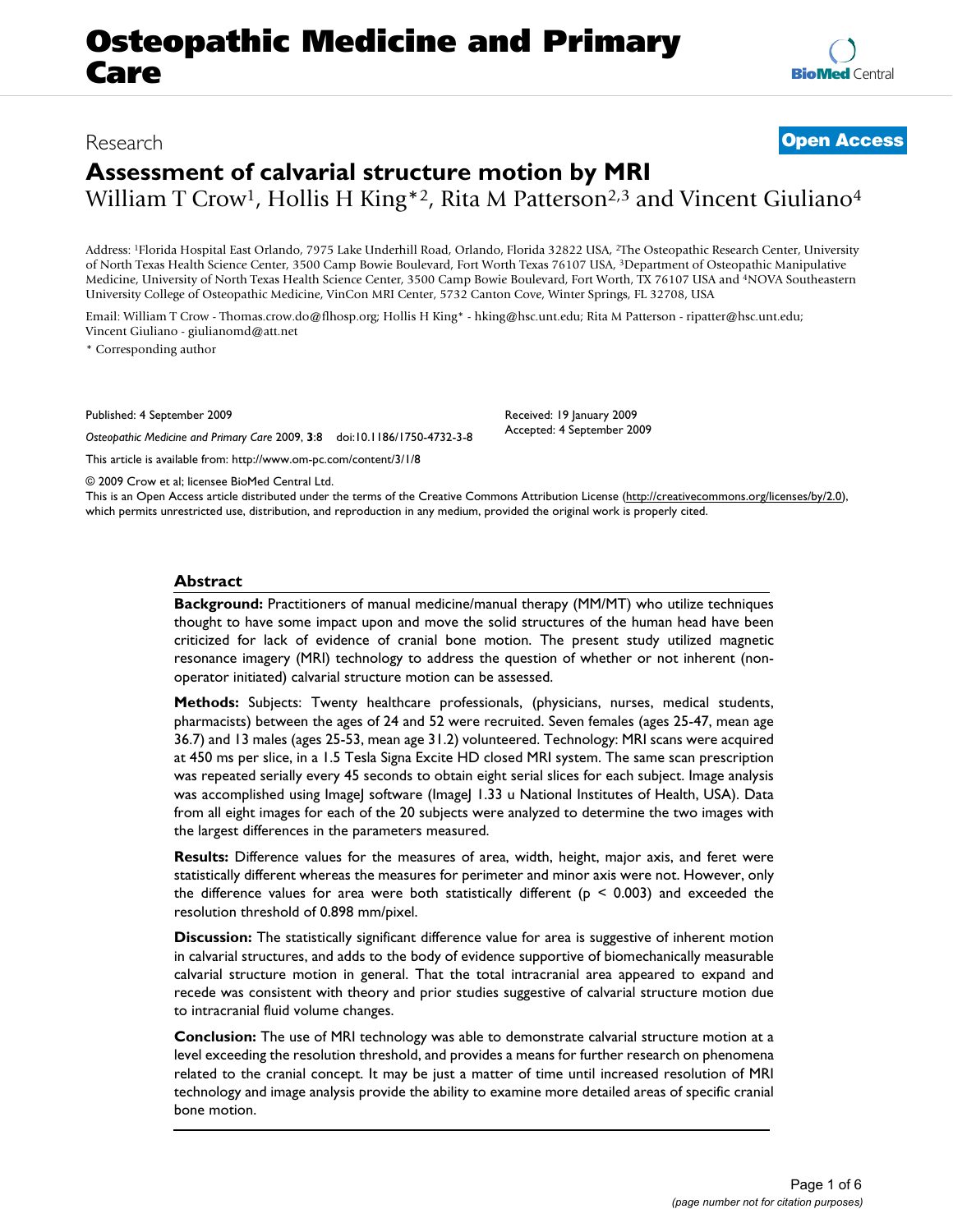# Research **[Open Access](http://www.biomedcentral.com/info/about/charter/)**

# **Assessment of calvarial structure motion by MRI**

William T Crow<sup>1</sup>, Hollis H King\*2, Rita M Patterson<sup>2,3</sup> and Vincent Giuliano<sup>4</sup>

Address: 1Florida Hospital East Orlando, 7975 Lake Underhill Road, Orlando, Florida 32822 USA, 2The Osteopathic Research Center, University of North Texas Health Science Center, 3500 Camp Bowie Boulevard, Fort Worth Texas 76107 USA, 3Department of Osteopathic Manipulative Medicine, University of North Texas Health Science Center, 3500 Camp Bowie Boulevard, Fort Worth, TX 76107 USA and 4NOVA Southeastern University College of Osteopathic Medicine, VinCon MRI Center, 5732 Canton Cove, Winter Springs, FL 32708, USA

Email: William T Crow - Thomas.crow.do@flhosp.org; Hollis H King\* - hking@hsc.unt.edu; Rita M Patterson - ripatter@hsc.unt.edu; Vincent Giuliano - giulianomd@att.net

\* Corresponding author

Published: 4 September 2009 *Osteopathic Medicine and Primary Care* 2009, **3**:8 doi:10.1186/1750-4732-3-8

[This article is available from: http://www.om-pc.com/content/3/1/8](http://www.om-pc.com/content/3/1/8)

© 2009 Crow et al; licensee BioMed Central Ltd.

This is an Open Access article distributed under the terms of the Creative Commons Attribution License [\(http://creativecommons.org/licenses/by/2.0\)](http://creativecommons.org/licenses/by/2.0), which permits unrestricted use, distribution, and reproduction in any medium, provided the original work is properly cited.

Received: 19 January 2009 Accepted: 4 September 2009

#### **Abstract**

**Background:** Practitioners of manual medicine/manual therapy (MM/MT) who utilize techniques thought to have some impact upon and move the solid structures of the human head have been criticized for lack of evidence of cranial bone motion. The present study utilized magnetic resonance imagery (MRI) technology to address the question of whether or not inherent (nonoperator initiated) calvarial structure motion can be assessed.

**Methods:** Subjects: Twenty healthcare professionals, (physicians, nurses, medical students, pharmacists) between the ages of 24 and 52 were recruited. Seven females (ages 25-47, mean age 36.7) and 13 males (ages 25-53, mean age 31.2) volunteered. Technology: MRI scans were acquired at 450 ms per slice, in a 1.5 Tesla Signa Excite HD closed MRI system. The same scan prescription was repeated serially every 45 seconds to obtain eight serial slices for each subject. Image analysis was accomplished using ImageJ software (ImageJ 1.33 u National Institutes of Health, USA). Data from all eight images for each of the 20 subjects were analyzed to determine the two images with the largest differences in the parameters measured.

**Results:** Difference values for the measures of area, width, height, major axis, and feret were statistically different whereas the measures for perimeter and minor axis were not. However, only the difference values for area were both statistically different ( $p \le 0.003$ ) and exceeded the resolution threshold of 0.898 mm/pixel.

**Discussion:** The statistically significant difference value for area is suggestive of inherent motion in calvarial structures, and adds to the body of evidence supportive of biomechanically measurable calvarial structure motion in general. That the total intracranial area appeared to expand and recede was consistent with theory and prior studies suggestive of calvarial structure motion due to intracranial fluid volume changes.

**Conclusion:** The use of MRI technology was able to demonstrate calvarial structure motion at a level exceeding the resolution threshold, and provides a means for further research on phenomena related to the cranial concept. It may be just a matter of time until increased resolution of MRI technology and image analysis provide the ability to examine more detailed areas of specific cranial bone motion.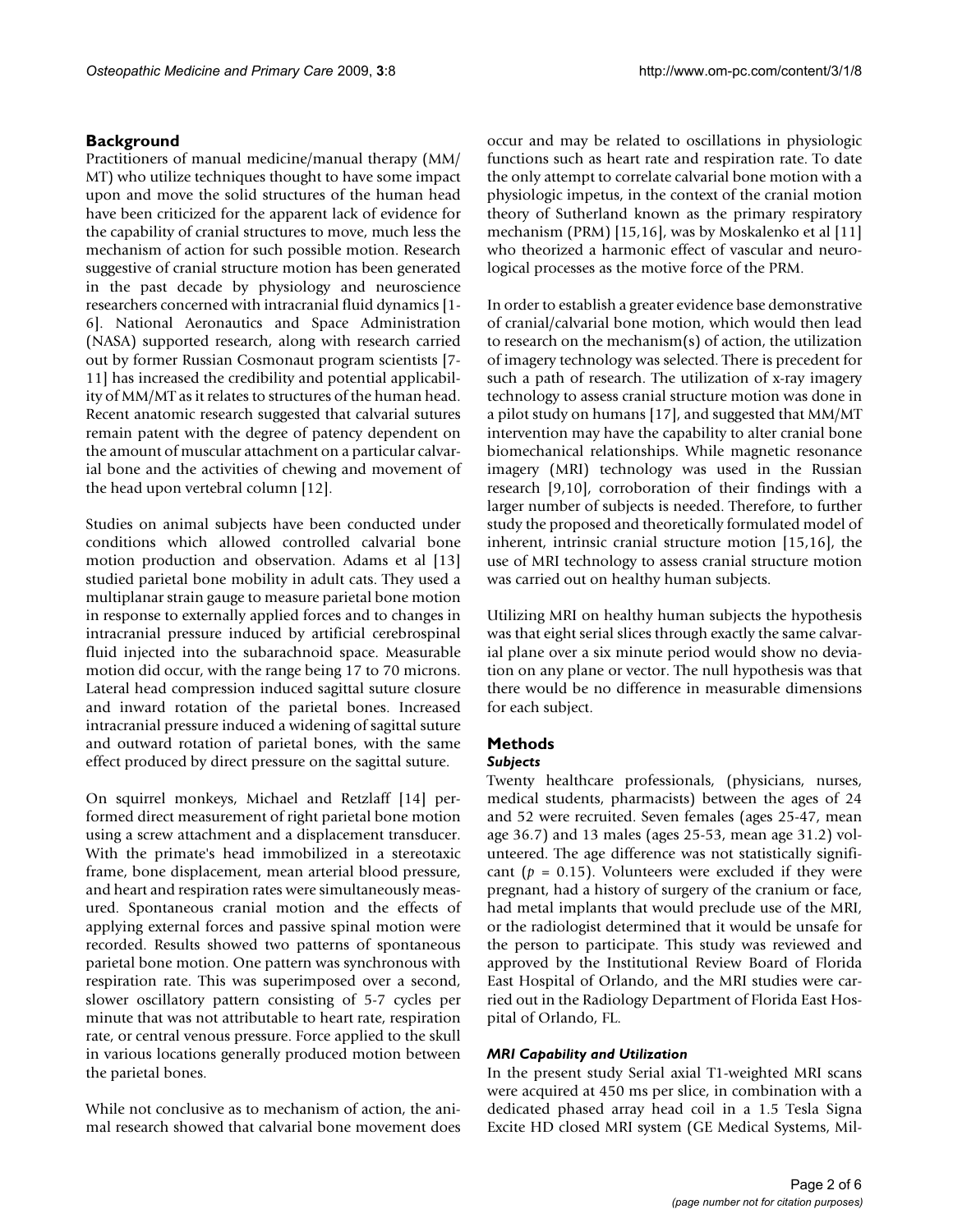### **Background**

Practitioners of manual medicine/manual therapy (MM/ MT) who utilize techniques thought to have some impact upon and move the solid structures of the human head have been criticized for the apparent lack of evidence for the capability of cranial structures to move, much less the mechanism of action for such possible motion. Research suggestive of cranial structure motion has been generated in the past decade by physiology and neuroscience researchers concerned with intracranial fluid dynamics [1- 6]. National Aeronautics and Space Administration (NASA) supported research, along with research carried out by former Russian Cosmonaut program scientists [7- 11] has increased the credibility and potential applicability of MM/MT as it relates to structures of the human head. Recent anatomic research suggested that calvarial sutures remain patent with the degree of patency dependent on the amount of muscular attachment on a particular calvarial bone and the activities of chewing and movement of the head upon vertebral column [12].

Studies on animal subjects have been conducted under conditions which allowed controlled calvarial bone motion production and observation. Adams et al [13] studied parietal bone mobility in adult cats. They used a multiplanar strain gauge to measure parietal bone motion in response to externally applied forces and to changes in intracranial pressure induced by artificial cerebrospinal fluid injected into the subarachnoid space. Measurable motion did occur, with the range being 17 to 70 microns. Lateral head compression induced sagittal suture closure and inward rotation of the parietal bones. Increased intracranial pressure induced a widening of sagittal suture and outward rotation of parietal bones, with the same effect produced by direct pressure on the sagittal suture.

On squirrel monkeys, Michael and Retzlaff [14] performed direct measurement of right parietal bone motion using a screw attachment and a displacement transducer. With the primate's head immobilized in a stereotaxic frame, bone displacement, mean arterial blood pressure, and heart and respiration rates were simultaneously measured. Spontaneous cranial motion and the effects of applying external forces and passive spinal motion were recorded. Results showed two patterns of spontaneous parietal bone motion. One pattern was synchronous with respiration rate. This was superimposed over a second, slower oscillatory pattern consisting of 5-7 cycles per minute that was not attributable to heart rate, respiration rate, or central venous pressure. Force applied to the skull in various locations generally produced motion between the parietal bones.

While not conclusive as to mechanism of action, the animal research showed that calvarial bone movement does occur and may be related to oscillations in physiologic functions such as heart rate and respiration rate. To date the only attempt to correlate calvarial bone motion with a physiologic impetus, in the context of the cranial motion theory of Sutherland known as the primary respiratory mechanism (PRM) [15,16], was by Moskalenko et al [11] who theorized a harmonic effect of vascular and neurological processes as the motive force of the PRM.

In order to establish a greater evidence base demonstrative of cranial/calvarial bone motion, which would then lead to research on the mechanism(s) of action, the utilization of imagery technology was selected. There is precedent for such a path of research. The utilization of x-ray imagery technology to assess cranial structure motion was done in a pilot study on humans [17], and suggested that MM/MT intervention may have the capability to alter cranial bone biomechanical relationships. While magnetic resonance imagery (MRI) technology was used in the Russian research [9,10], corroboration of their findings with a larger number of subjects is needed. Therefore, to further study the proposed and theoretically formulated model of inherent, intrinsic cranial structure motion [15,16], the use of MRI technology to assess cranial structure motion was carried out on healthy human subjects.

Utilizing MRI on healthy human subjects the hypothesis was that eight serial slices through exactly the same calvarial plane over a six minute period would show no deviation on any plane or vector. The null hypothesis was that there would be no difference in measurable dimensions for each subject.

# **Methods**

## *Subjects*

Twenty healthcare professionals, (physicians, nurses, medical students, pharmacists) between the ages of 24 and 52 were recruited. Seven females (ages 25-47, mean age 36.7) and 13 males (ages 25-53, mean age 31.2) volunteered. The age difference was not statistically significant ( $p = 0.15$ ). Volunteers were excluded if they were pregnant, had a history of surgery of the cranium or face, had metal implants that would preclude use of the MRI, or the radiologist determined that it would be unsafe for the person to participate. This study was reviewed and approved by the Institutional Review Board of Florida East Hospital of Orlando, and the MRI studies were carried out in the Radiology Department of Florida East Hospital of Orlando, FL.

#### *MRI Capability and Utilization*

In the present study Serial axial T1-weighted MRI scans were acquired at 450 ms per slice, in combination with a dedicated phased array head coil in a 1.5 Tesla Signa Excite HD closed MRI system (GE Medical Systems, Mil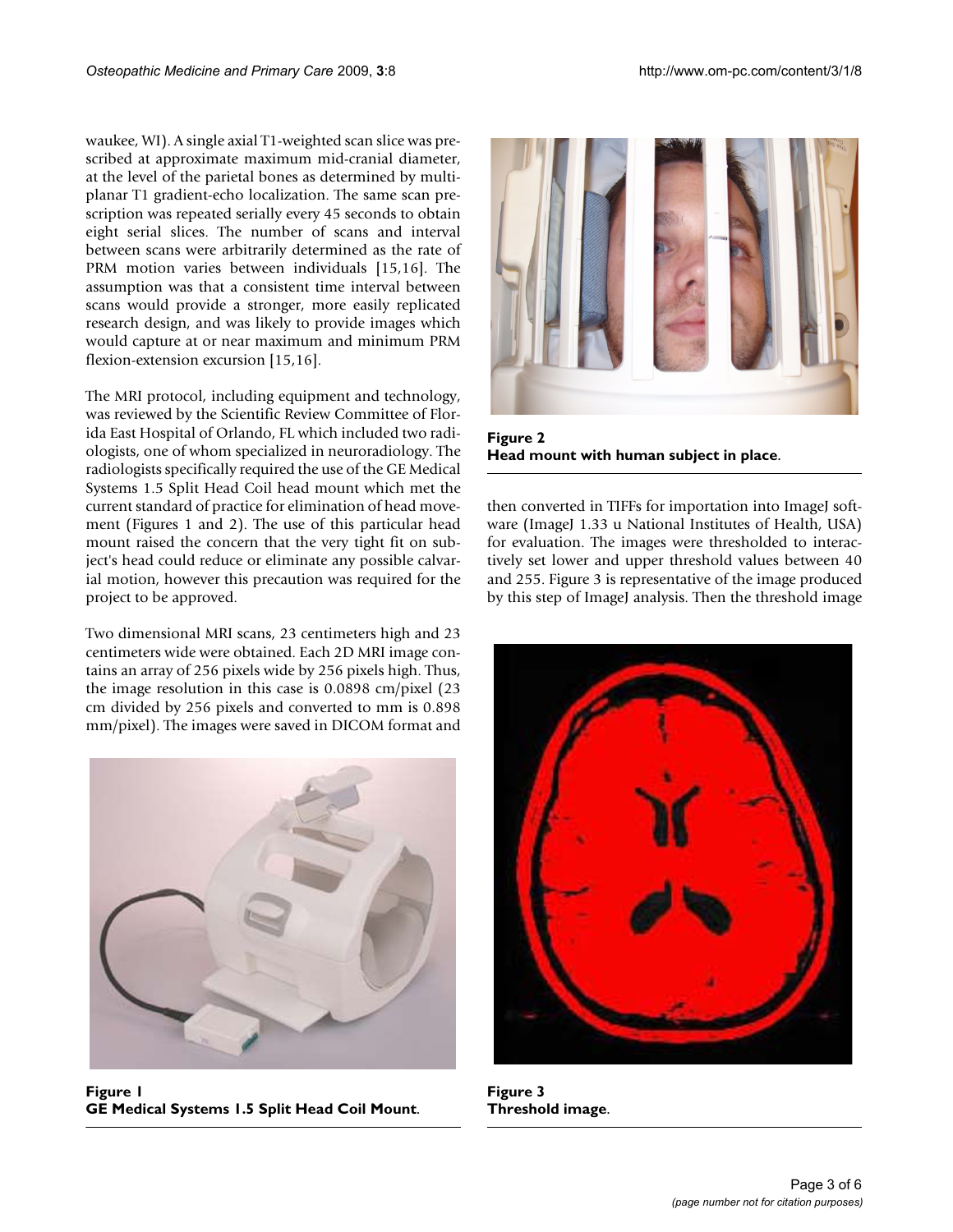waukee, WI). A single axial T1-weighted scan slice was prescribed at approximate maximum mid-cranial diameter, at the level of the parietal bones as determined by multiplanar T1 gradient-echo localization. The same scan prescription was repeated serially every 45 seconds to obtain eight serial slices. The number of scans and interval between scans were arbitrarily determined as the rate of PRM motion varies between individuals [15,16]. The assumption was that a consistent time interval between scans would provide a stronger, more easily replicated research design, and was likely to provide images which would capture at or near maximum and minimum PRM flexion-extension excursion [15,16].

The MRI protocol, including equipment and technology, was reviewed by the Scientific Review Committee of Florida East Hospital of Orlando, FL which included two radiologists, one of whom specialized in neuroradiology. The radiologists specifically required the use of the GE Medical Systems 1.5 Split Head Coil head mount which met the current standard of practice for elimination of head movement (Figures 1 and 2). The use of this particular head mount raised the concern that the very tight fit on subject's head could reduce or eliminate any possible calvarial motion, however this precaution was required for the project to be approved.

Two dimensional MRI scans, 23 centimeters high and 23 centimeters wide were obtained. Each 2D MRI image contains an array of 256 pixels wide by 256 pixels high. Thus, the image resolution in this case is 0.0898 cm/pixel (23 cm divided by 256 pixels and converted to mm is 0.898 mm/pixel). The images were saved in DICOM format and



Figure 1. **GE Medical Systems 1.5 Split Head Coil Mount**.



**Figure 2 Head mount with human subject in place**.

then converted in TIFFs for importation into ImageJ software (ImageJ 1.33 u National Institutes of Health, USA) for evaluation. The images were thresholded to interactively set lower and upper threshold values between 40 and 255. Figure 3 is representative of the image produced by this step of ImageJ analysis. Then the threshold image



**Figure 3 Threshold image**.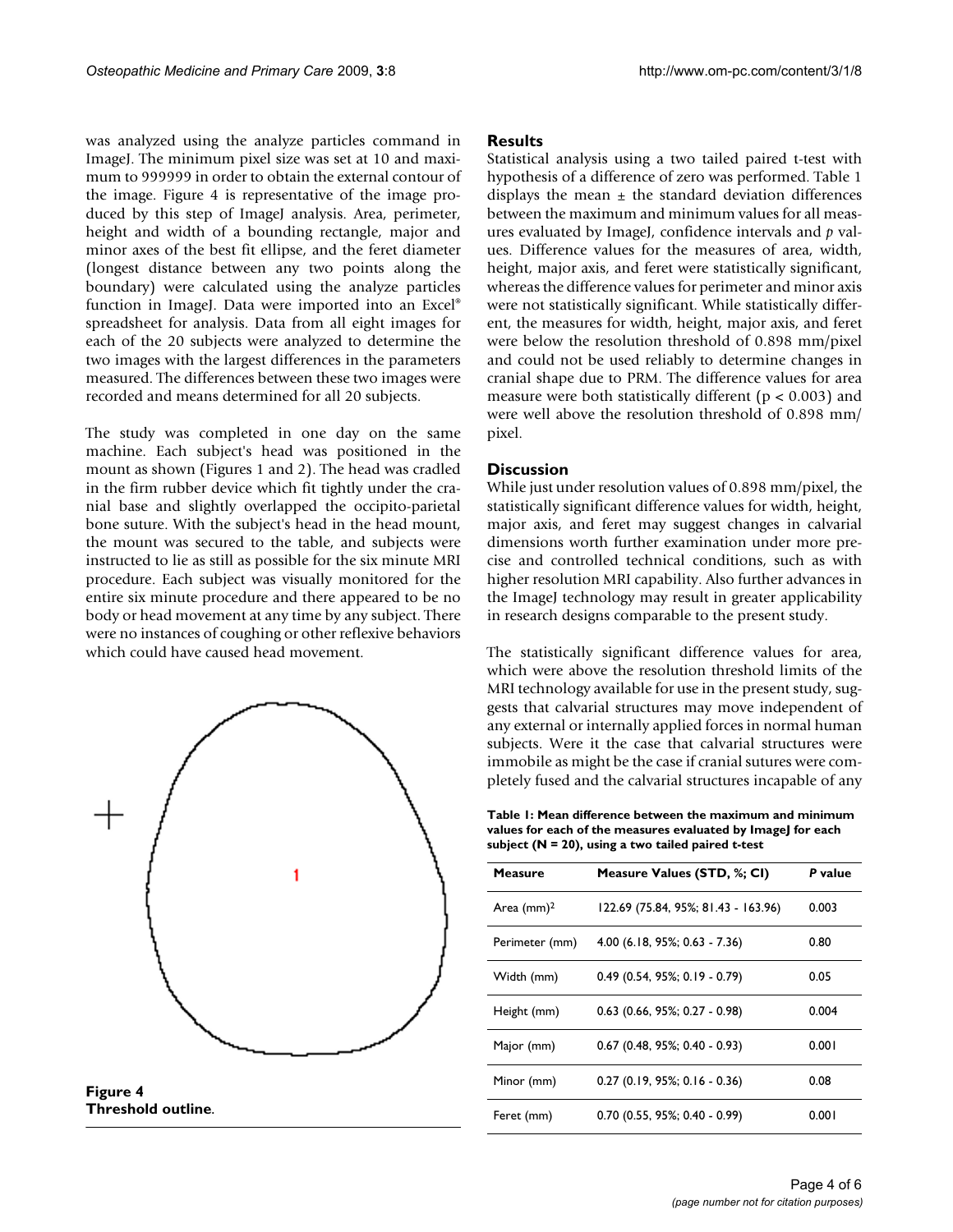was analyzed using the analyze particles command in ImageJ. The minimum pixel size was set at 10 and maximum to 999999 in order to obtain the external contour of the image. Figure 4 is representative of the image produced by this step of ImageJ analysis. Area, perimeter, height and width of a bounding rectangle, major and minor axes of the best fit ellipse, and the feret diameter (longest distance between any two points along the boundary) were calculated using the analyze particles function in ImageJ. Data were imported into an Excel® spreadsheet for analysis. Data from all eight images for each of the 20 subjects were analyzed to determine the two images with the largest differences in the parameters measured. The differences between these two images were recorded and means determined for all 20 subjects.

The study was completed in one day on the same machine. Each subject's head was positioned in the mount as shown (Figures 1 and 2). The head was cradled in the firm rubber device which fit tightly under the cranial base and slightly overlapped the occipito-parietal bone suture. With the subject's head in the head mount, the mount was secured to the table, and subjects were instructed to lie as still as possible for the six minute MRI procedure. Each subject was visually monitored for the entire six minute procedure and there appeared to be no body or head movement at any time by any subject. There were no instances of coughing or other reflexive behaviors which could have caused head movement.



**Threshold outline**.

#### **Results**

Statistical analysis using a two tailed paired t-test with hypothesis of a difference of zero was performed. Table 1 displays the mean  $\pm$  the standard deviation differences between the maximum and minimum values for all measures evaluated by ImageJ, confidence intervals and *p* values. Difference values for the measures of area, width, height, major axis, and feret were statistically significant, whereas the difference values for perimeter and minor axis were not statistically significant. While statistically different, the measures for width, height, major axis, and feret were below the resolution threshold of 0.898 mm/pixel and could not be used reliably to determine changes in cranial shape due to PRM. The difference values for area measure were both statistically different ( $p < 0.003$ ) and were well above the resolution threshold of 0.898 mm/ pixel.

#### **Discussion**

While just under resolution values of 0.898 mm/pixel, the statistically significant difference values for width, height, major axis, and feret may suggest changes in calvarial dimensions worth further examination under more precise and controlled technical conditions, such as with higher resolution MRI capability. Also further advances in the ImageJ technology may result in greater applicability in research designs comparable to the present study.

The statistically significant difference values for area, which were above the resolution threshold limits of the MRI technology available for use in the present study, suggests that calvarial structures may move independent of any external or internally applied forces in normal human subjects. Were it the case that calvarial structures were immobile as might be the case if cranial sutures were completely fused and the calvarial structures incapable of any

**Table 1: Mean difference between the maximum and minimum values for each of the measures evaluated by ImageJ for each subject (N = 20), using a two tailed paired t-test**

| Measure        | Measure Values (STD, %; CI)         | P value |
|----------------|-------------------------------------|---------|
| Area $(mm)^2$  | 122.69 (75.84, 95%; 81.43 - 163.96) | 0.003   |
| Perimeter (mm) | 4.00 (6.18, 95%; 0.63 - 7.36)       | 0.80    |
| Width (mm)     | $0.49$ (0.54, 95%; 0.19 - 0.79)     | 0.05    |
| Height (mm)    | $0.63$ (0.66, 95%; 0.27 - 0.98)     | 0.004   |
| Major (mm)     | $0.67$ (0.48, 95%; 0.40 - 0.93)     | 0.001   |
| Minor (mm)     | $0.27$ (0.19, 95%; 0.16 - 0.36)     | 0.08    |
| Feret (mm)     | $0.70$ (0.55, 95%; 0.40 - 0.99)     | 0.001   |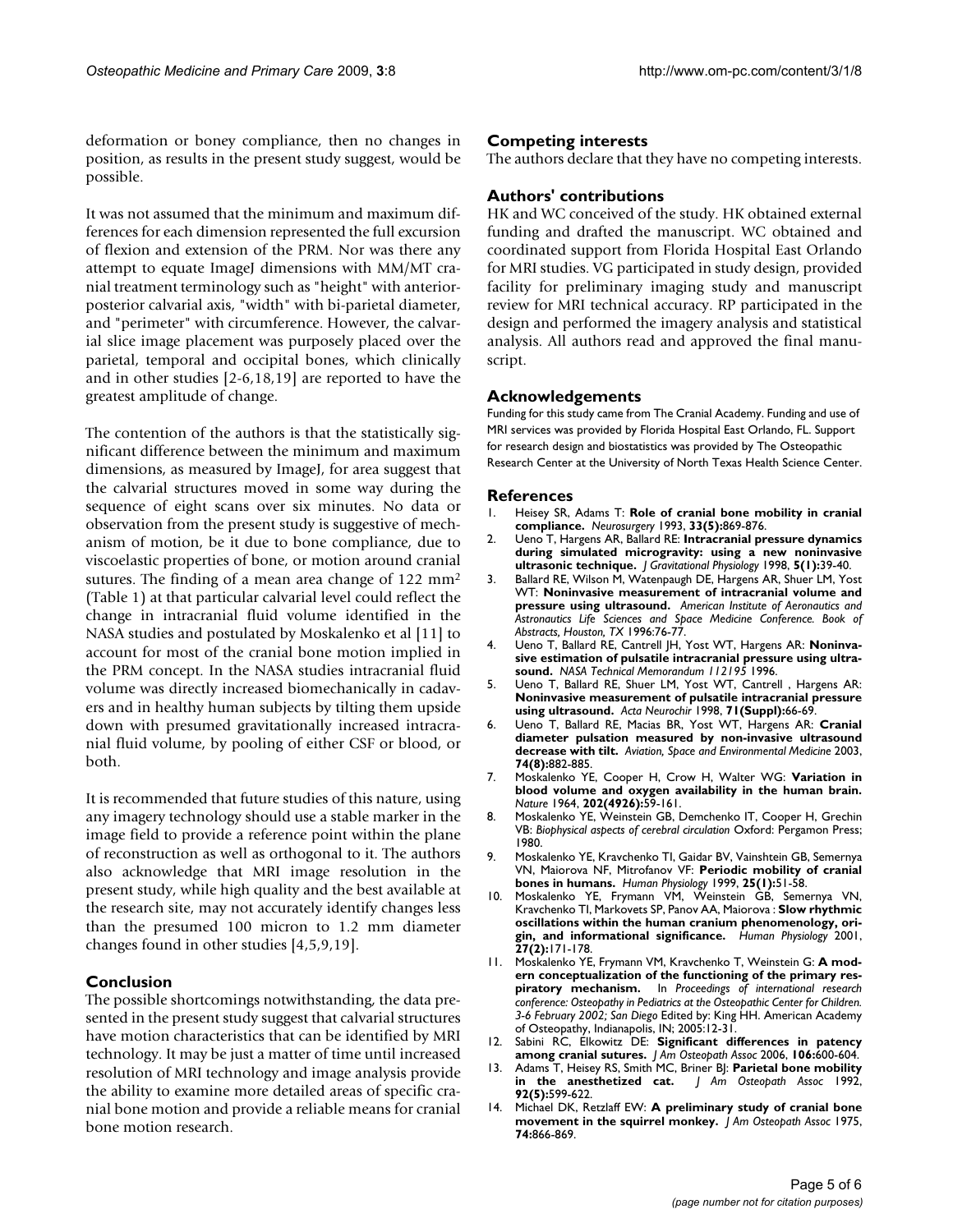deformation or boney compliance, then no changes in position, as results in the present study suggest, would be possible.

It was not assumed that the minimum and maximum differences for each dimension represented the full excursion of flexion and extension of the PRM. Nor was there any attempt to equate ImageJ dimensions with MM/MT cranial treatment terminology such as "height" with anteriorposterior calvarial axis, "width" with bi-parietal diameter, and "perimeter" with circumference. However, the calvarial slice image placement was purposely placed over the parietal, temporal and occipital bones, which clinically and in other studies [2-6,18,19] are reported to have the greatest amplitude of change.

The contention of the authors is that the statistically significant difference between the minimum and maximum dimensions, as measured by ImageJ, for area suggest that the calvarial structures moved in some way during the sequence of eight scans over six minutes. No data or observation from the present study is suggestive of mechanism of motion, be it due to bone compliance, due to viscoelastic properties of bone, or motion around cranial sutures. The finding of a mean area change of 122 mm2 (Table 1) at that particular calvarial level could reflect the change in intracranial fluid volume identified in the NASA studies and postulated by Moskalenko et al [11] to account for most of the cranial bone motion implied in the PRM concept. In the NASA studies intracranial fluid volume was directly increased biomechanically in cadavers and in healthy human subjects by tilting them upside down with presumed gravitationally increased intracranial fluid volume, by pooling of either CSF or blood, or both.

It is recommended that future studies of this nature, using any imagery technology should use a stable marker in the image field to provide a reference point within the plane of reconstruction as well as orthogonal to it. The authors also acknowledge that MRI image resolution in the present study, while high quality and the best available at the research site, may not accurately identify changes less than the presumed 100 micron to 1.2 mm diameter changes found in other studies [4,5,9,19].

#### **Conclusion**

The possible shortcomings notwithstanding, the data presented in the present study suggest that calvarial structures have motion characteristics that can be identified by MRI technology. It may be just a matter of time until increased resolution of MRI technology and image analysis provide the ability to examine more detailed areas of specific cranial bone motion and provide a reliable means for cranial bone motion research.

#### **Competing interests**

The authors declare that they have no competing interests.

#### **Authors' contributions**

HK and WC conceived of the study. HK obtained external funding and drafted the manuscript. WC obtained and coordinated support from Florida Hospital East Orlando for MRI studies. VG participated in study design, provided facility for preliminary imaging study and manuscript review for MRI technical accuracy. RP participated in the design and performed the imagery analysis and statistical analysis. All authors read and approved the final manuscript.

#### **Acknowledgements**

Funding for this study came from The Cranial Academy. Funding and use of MRI services was provided by Florida Hospital East Orlando, FL. Support for research design and biostatistics was provided by The Osteopathic Research Center at the University of North Texas Health Science Center.

#### **References**

- 1. Heisey SR, Adams T: **[Role of cranial bone mobility in cranial](http://www.ncbi.nlm.nih.gov/entrez/query.fcgi?cmd=Retrieve&db=PubMed&dopt=Abstract&list_uids=8264886) [compliance.](http://www.ncbi.nlm.nih.gov/entrez/query.fcgi?cmd=Retrieve&db=PubMed&dopt=Abstract&list_uids=8264886)** *Neurosurgery* 1993, **33(5):**869-876.
- 2. Ueno T, Hargens AR, Ballard RE: **Intracranial pressure dynamics during simulated microgravity: using a new noninvasive ultrasonic technique.** *J Gravitational Physiology* 1998, **5(1):**39-40.
- Ballard RE, Wilson M, Watenpaugh DE, Hargens AR, Shuer LM, Yost WT: **Noninvasive measurement of intracranial volume and pressure using ultrasound.** *American Institute of Aeronautics and Astronautics Life Sciences and Space Medicine Conference. Book of Abstracts, Houston, TX* 1996:76-77.
- 4. Ueno T, Ballard RE, Cantrell JH, Yost WT, Hargens AR: **Noninvasive estimation of pulsatile intracranial pressure using ultrasound.** *NASA Technical Memorandum 112195* 1996.
- 5. Ueno T, Ballard RE, Shuer LM, Yost WT, Cantrell , Hargens AR: **Noninvasive measurement of pulsatile intracranial pressure using ultrasound.** *Acta Neurochir* 1998, **71(Suppl):**66-69.
- 6. Ueno T, Ballard RE, Macias BR, Yost WT, Hargens AR: **Cranial diameter pulsation measured by non-invasive ultrasound decrease with tilt.** *Aviation, Space and Environmental Medicine* 2003, **74(8):**882-885.
- 7. Moskalenko YE, Cooper H, Crow H, Walter WG: **Variation in blood volume and oxygen availability in the human brain.** *Nature* 1964, **202(4926):**59-161.
- 8. Moskalenko YE, Weinstein GB, Demchenko IT, Cooper H, Grechin VB: *Biophysical aspects of cerebral circulation* Oxford: Pergamon Press; 1980.
- 9. Moskalenko YE, Kravchenko TI, Gaidar BV, Vainshtein GB, Semernya VN, Maiorova NF, Mitrofanov VF: **Periodic mobility of cranial bones in humans.** *Human Physiology* 1999, **25(1):**51-58.
- 10. Moskalenko YE, Frymann VM, Weinstein GB, Semernya VN, Kravchenko TI, Markovets SP, Panov AA, Maiorova : **Slow rhythmic oscillations within the human cranium phenomenology, origin, and informational significance.** *Human Physiology* 2001, **27(2):**171-178.
- 11. Moskalenko YE, Frymann VM, Kravchenko T, Weinstein G: **A modern conceptualization of the functioning of the primary respiratory mechanism.** In *Proceedings of international research conference: Osteopathy in Pediatrics at the Osteopathic Center for Children. 3-6 February 2002; San Diego* Edited by: King HH. American Academy of Osteopathy, Indianapolis, IN; 2005:12-31.
- 12. Sabini RC, Elkowitz DE: **[Significant differences in patency](http://www.ncbi.nlm.nih.gov/entrez/query.fcgi?cmd=Retrieve&db=PubMed&dopt=Abstract&list_uids=17122029) [among cranial sutures.](http://www.ncbi.nlm.nih.gov/entrez/query.fcgi?cmd=Retrieve&db=PubMed&dopt=Abstract&list_uids=17122029)** *J Am Osteopath Assoc* 2006, **106:**600-604.
- 13. Adams T, Heisey RS, Smith MC, Briner BJ: **[Parietal bone mobility](http://www.ncbi.nlm.nih.gov/entrez/query.fcgi?cmd=Retrieve&db=PubMed&dopt=Abstract&list_uids=1601696)**<br>in the anesthetized cat. *| Am Osteopath Assoc* 1992, **[in the anesthetized cat.](http://www.ncbi.nlm.nih.gov/entrez/query.fcgi?cmd=Retrieve&db=PubMed&dopt=Abstract&list_uids=1601696)** *J Am Osteopath Assoc* 1992, **92(5):**599-622.
- 14. Michael DK, Retzlaff EW: **[A preliminary study of cranial bone](http://www.ncbi.nlm.nih.gov/entrez/query.fcgi?cmd=Retrieve&db=PubMed&dopt=Abstract&list_uids=804504) [movement in the squirrel monkey.](http://www.ncbi.nlm.nih.gov/entrez/query.fcgi?cmd=Retrieve&db=PubMed&dopt=Abstract&list_uids=804504)** *J Am Osteopath Assoc* 1975, **74:**866-869.